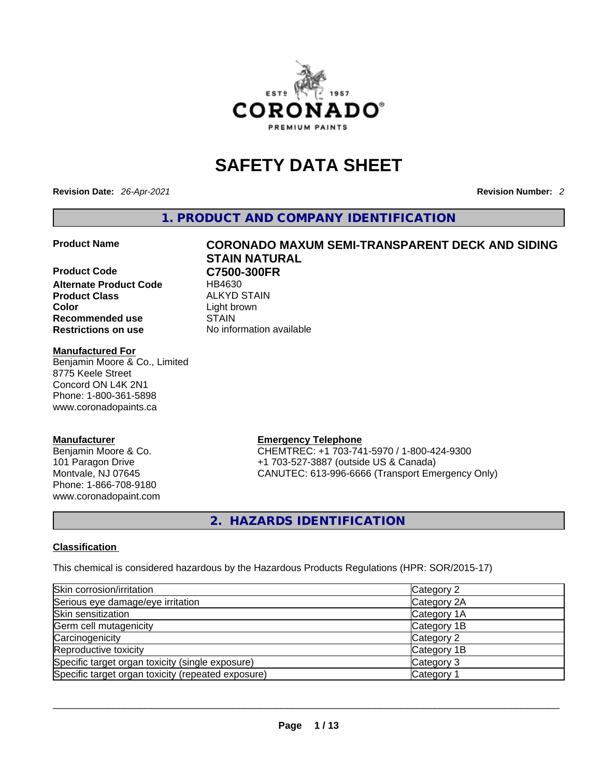

# **SAFETY DATA SHEET**

**Revision Date:** *26-Apr-2021* **Revision Number:** *2*

**1. PRODUCT AND COMPANY IDENTIFICATION** 

**Product Code C7500-300FR Alternate Product Code HB4630 Product Class ALKYD STAIN Color**<br> **Recommended use**<br> **COLORER STAIN Recommended use Restrictions on use** No information available

### **Manufactured For**

Benjamin Moore & Co., Limited 8775 Keele Street Concord ON L4K 2N1 Phone: 1-800-361-5898 www.coronadopaints.ca

#### **Manufacturer**

Benjamin Moore & Co. 101 Paragon Drive Montvale, NJ 07645 Phone: 1-866-708-9180 www.coronadopaint.com

# **Product Name CORONADO MAXUM SEMI-TRANSPARENT DECK AND SIDING STAIN NATURAL**

**Emergency Telephone** CHEMTREC: +1 703-741-5970 / 1-800-424-9300 +1 703-527-3887 (outside US & Canada) CANUTEC: 613-996-6666 (Transport Emergency Only)

**2. HAZARDS IDENTIFICATION** 

# **Classification**

This chemical is considered hazardous by the Hazardous Products Regulations (HPR: SOR/2015-17)

| Skin corrosion/irritation                          | Category 2            |
|----------------------------------------------------|-----------------------|
| Serious eye damage/eye irritation                  | Category 2A           |
| Skin sensitization                                 | Category 1A           |
| Germ cell mutagenicity                             | Category 1B           |
| Carcinogenicity                                    | Category 2            |
| Reproductive toxicity                              | Category 1B           |
| Specific target organ toxicity (single exposure)   | Category 3            |
| Specific target organ toxicity (repeated exposure) | Category <sup>2</sup> |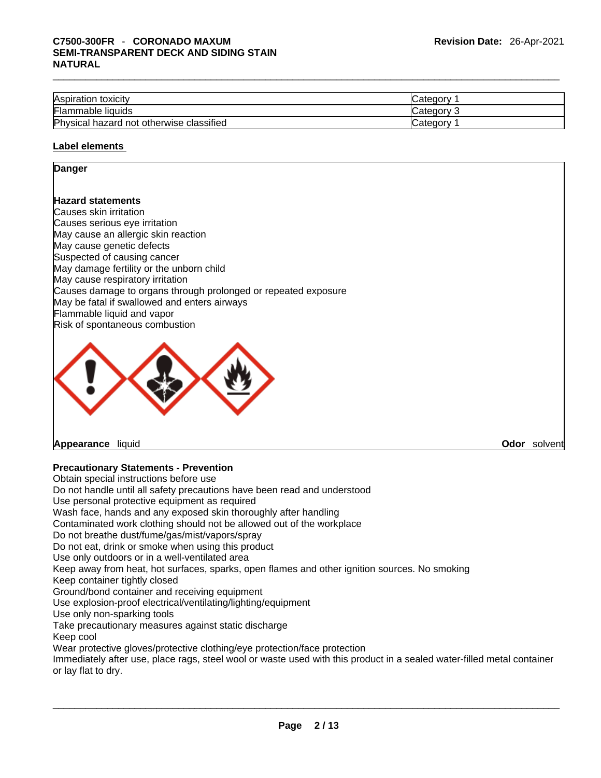| Aspiration toxicity                      | ∵ategory ڪ |
|------------------------------------------|------------|
| Flammable liquids                        | Category 2 |
| Physical hazard not otherwise classified | ′ ategoryٽ |
|                                          |            |

#### **Label elements**

#### **Danger**

### **Hazard statements**

Causes skin irritation Causes serious eye irritation May cause an allergic skin reaction May cause genetic defects Suspected of causing cancer May damage fertility or the unborn child May cause respiratory irritation Causes damage to organs through prolonged or repeated exposure May be fatal if swallowed and enters airways Flammable liquid and vapor Risk of spontaneous combustion



**Appearance** liquid **Odor** *solvent* **and** *Odor**Solvent* **and** *Odor**Solvent* **<b>Odor** *Solvent* **Odor** *Solvent* **Odor** *Solvent* **Odor** *Odor Odor Odor Odor Odor Odor Odor Odor Odor Odo* 

# **Precautionary Statements - Prevention**

Obtain special instructions before use Do not handle until all safety precautions have been read and understood Use personal protective equipment as required Wash face, hands and any exposed skin thoroughly after handling Contaminated work clothing should not be allowed out of the workplace Do not breathe dust/fume/gas/mist/vapors/spray Do not eat, drink or smoke when using this product Use only outdoors or in a well-ventilated area Keep away from heat, hot surfaces, sparks, open flames and other ignition sources. No smoking Keep container tightly closed Ground/bond container and receiving equipment Use explosion-proof electrical/ventilating/lighting/equipment Use only non-sparking tools Take precautionary measures against static discharge Keep cool Wear protective gloves/protective clothing/eye protection/face protection Immediately after use, place rags, steel wool or waste used with this product in a sealed water-filled metal container or lay flat to dry.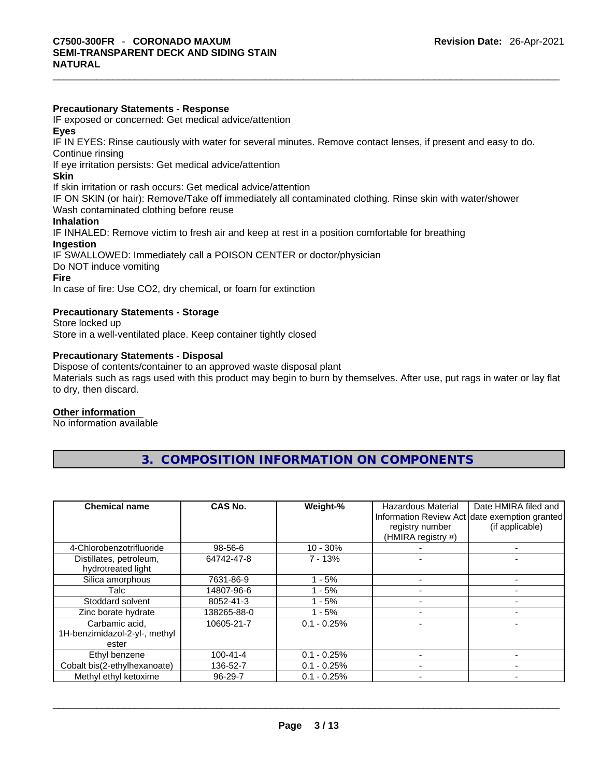#### **Precautionary Statements - Response**

IF exposed or concerned: Get medical advice/attention

**Eyes**

IF IN EYES: Rinse cautiously with water forseveral minutes. Remove contact lenses, if present and easy to do. Continue rinsing

If eye irritation persists: Get medical advice/attention

#### **Skin**

If skin irritation or rash occurs: Get medical advice/attention

IF ON SKIN (or hair): Remove/Take off immediately all contaminated clothing. Rinse skin with water/shower Wash contaminated clothing before reuse

#### **Inhalation**

IF INHALED: Remove victim to fresh air and keep at rest in a position comfortable for breathing **Ingestion**

IF SWALLOWED: Immediately call a POISON CENTER or doctor/physician

Do NOT induce vomiting

#### **Fire**

In case of fire: Use CO2, dry chemical, or foam for extinction

## **Precautionary Statements - Storage**

Store locked up Store in a well-ventilated place. Keep container tightly closed

# **Precautionary Statements - Disposal**

Dispose of contents/container to an approved waste disposal plant Materials such as rags used with this product may begin to burn by themselves. After use, put rags in water or lay flat to dry, then discard.

#### **Other information**

No information available

| <b>Chemical name</b>                                     | CAS No.        | Weight-%      | Hazardous Material<br>registry number<br>(HMIRA registry #) | Date HMIRA filed and<br>Information Review Act date exemption granted<br>(if applicable) |
|----------------------------------------------------------|----------------|---------------|-------------------------------------------------------------|------------------------------------------------------------------------------------------|
| 4-Chlorobenzotrifluoride                                 | 98-56-6        | $10 - 30%$    |                                                             |                                                                                          |
| Distillates, petroleum,<br>hydrotreated light            | 64742-47-8     | $7 - 13%$     |                                                             |                                                                                          |
| Silica amorphous                                         | 7631-86-9      | - 5%          |                                                             |                                                                                          |
| Talc                                                     | 14807-96-6     | - 5%          |                                                             |                                                                                          |
| Stoddard solvent                                         | 8052-41-3      | - 5%          |                                                             |                                                                                          |
| Zinc borate hydrate                                      | 138265-88-0    | - 5%          |                                                             |                                                                                          |
| Carbamic acid,<br>1H-benzimidazol-2-yl-, methyl<br>ester | 10605-21-7     | $0.1 - 0.25%$ |                                                             |                                                                                          |
| Ethyl benzene                                            | $100 - 41 - 4$ | $0.1 - 0.25%$ |                                                             |                                                                                          |
| Cobalt bis(2-ethylhexanoate)                             | 136-52-7       | $0.1 - 0.25%$ |                                                             |                                                                                          |
| Methyl ethyl ketoxime                                    | 96-29-7        | $0.1 - 0.25%$ |                                                             |                                                                                          |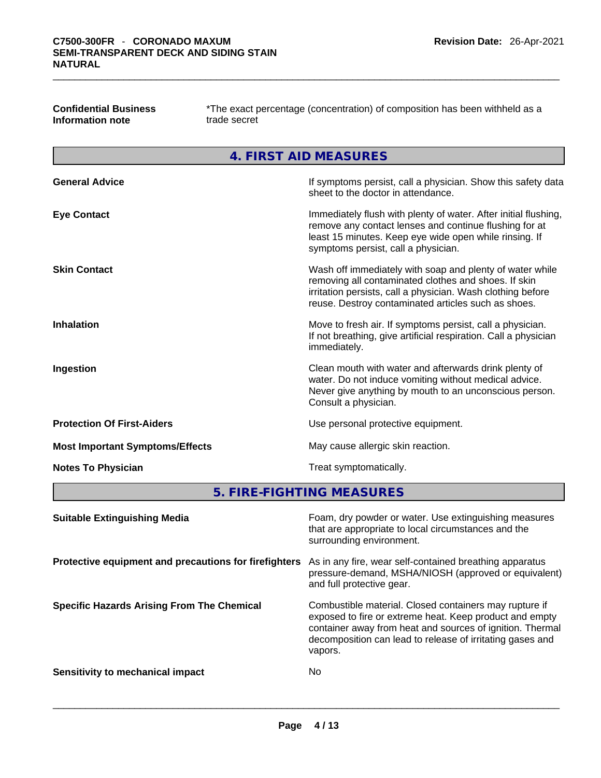| <b>Confidential Business</b> |  |
|------------------------------|--|
| Information note             |  |

**Confidential Business** \*The exact percentage (concentration) of composition has been withheld as a **Information note** trade secret

**4. FIRST AID MEASURES** 

| <b>General Advice</b>                  | If symptoms persist, call a physician. Show this safety data<br>sheet to the doctor in attendance.                                                                                                                                     |
|----------------------------------------|----------------------------------------------------------------------------------------------------------------------------------------------------------------------------------------------------------------------------------------|
| <b>Eye Contact</b>                     | Immediately flush with plenty of water. After initial flushing,<br>remove any contact lenses and continue flushing for at<br>least 15 minutes. Keep eye wide open while rinsing. If<br>symptoms persist, call a physician.             |
| <b>Skin Contact</b>                    | Wash off immediately with soap and plenty of water while<br>removing all contaminated clothes and shoes. If skin<br>irritation persists, call a physician. Wash clothing before<br>reuse. Destroy contaminated articles such as shoes. |
| <b>Inhalation</b>                      | Move to fresh air. If symptoms persist, call a physician.<br>If not breathing, give artificial respiration. Call a physician<br>immediately.                                                                                           |
| Ingestion                              | Clean mouth with water and afterwards drink plenty of<br>water. Do not induce vomiting without medical advice.<br>Never give anything by mouth to an unconscious person.<br>Consult a physician.                                       |
| <b>Protection Of First-Aiders</b>      | Use personal protective equipment.                                                                                                                                                                                                     |
| <b>Most Important Symptoms/Effects</b> | May cause allergic skin reaction.                                                                                                                                                                                                      |
| <b>Notes To Physician</b>              | Treat symptomatically.                                                                                                                                                                                                                 |

**5. FIRE-FIGHTING MEASURES** 

| <b>Suitable Extinguishing Media</b>                   | Foam, dry powder or water. Use extinguishing measures<br>that are appropriate to local circumstances and the<br>surrounding environment.                                                                                                               |
|-------------------------------------------------------|--------------------------------------------------------------------------------------------------------------------------------------------------------------------------------------------------------------------------------------------------------|
| Protective equipment and precautions for firefighters | As in any fire, wear self-contained breathing apparatus<br>pressure-demand, MSHA/NIOSH (approved or equivalent)<br>and full protective gear.                                                                                                           |
| <b>Specific Hazards Arising From The Chemical</b>     | Combustible material. Closed containers may rupture if<br>exposed to fire or extreme heat. Keep product and empty<br>container away from heat and sources of ignition. Thermal<br>decomposition can lead to release of irritating gases and<br>vapors. |
| Sensitivity to mechanical impact                      | No                                                                                                                                                                                                                                                     |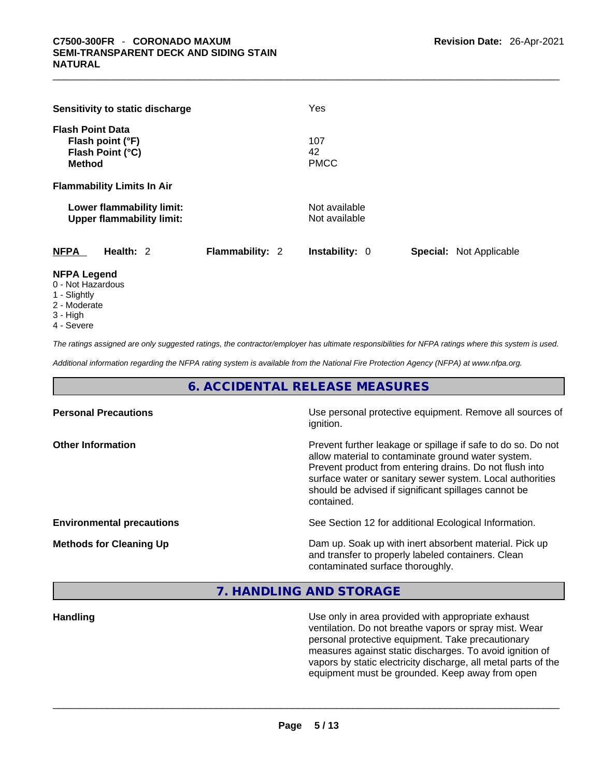|                                          | Sensitivity to static discharge                               |                        | Yes                            |                                |
|------------------------------------------|---------------------------------------------------------------|------------------------|--------------------------------|--------------------------------|
| <b>Flash Point Data</b><br><b>Method</b> | Flash point (°F)<br>Flash Point (°C)                          |                        | 107<br>42<br><b>PMCC</b>       |                                |
|                                          | <b>Flammability Limits In Air</b>                             |                        |                                |                                |
|                                          | Lower flammability limit:<br><b>Upper flammability limit:</b> |                        | Not available<br>Not available |                                |
| <b>NFPA</b>                              | Health: 2                                                     | <b>Flammability: 2</b> | <b>Instability: 0</b>          | <b>Special: Not Applicable</b> |
| <b>NFPA Legend</b><br>0 - Not Hazardous  |                                                               |                        |                                |                                |

- 1 Slightly
- 2 Moderate
- 3 High
- 4 Severe

*The ratings assigned are only suggested ratings, the contractor/employer has ultimate responsibilities for NFPA ratings where this system is used.* 

*Additional information regarding the NFPA rating system is available from the National Fire Protection Agency (NFPA) at www.nfpa.org.* 

# **6. ACCIDENTAL RELEASE MEASURES**

| <b>Personal Precautions</b>      | Use personal protective equipment. Remove all sources of<br>ignition.                                                                                                                                                                                                                                            |
|----------------------------------|------------------------------------------------------------------------------------------------------------------------------------------------------------------------------------------------------------------------------------------------------------------------------------------------------------------|
| <b>Other Information</b>         | Prevent further leakage or spillage if safe to do so. Do not<br>allow material to contaminate ground water system.<br>Prevent product from entering drains. Do not flush into<br>surface water or sanitary sewer system. Local authorities<br>should be advised if significant spillages cannot be<br>contained. |
| <b>Environmental precautions</b> | See Section 12 for additional Ecological Information.                                                                                                                                                                                                                                                            |
| <b>Methods for Cleaning Up</b>   | Dam up. Soak up with inert absorbent material. Pick up<br>and transfer to properly labeled containers. Clean<br>contaminated surface thoroughly.                                                                                                                                                                 |

# **7. HANDLING AND STORAGE**

**Handling** Use only in area provided with appropriate exhaust ventilation. Do not breathe vapors or spray mist. Wear personal protective equipment. Take precautionary measures against static discharges. To avoid ignition of vapors by static electricity discharge, all metal parts of the equipment must be grounded. Keep away from open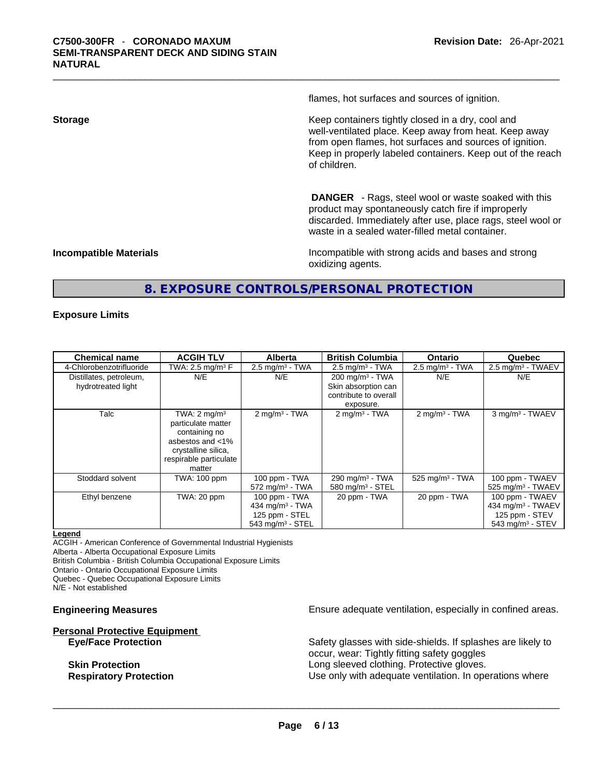flames, hot surfaces and sources of ignition.

**Storage Storage Example 2.1 Keep containers tightly closed in a dry, cool and** well-ventilated place. Keep away from heat. Keep away from open flames, hot surfaces and sources of ignition. Keep in properly labeled containers. Keep out of the reach of children.

> **DANGER** - Rags, steel wool or waste soaked with this product may spontaneously catch fire if improperly discarded. Immediately after use, place rags, steel wool or waste in a sealed water-filled metal container.

**Incompatible Materials Incompatible with strong acids and bases and strong** oxidizing agents.

# **8. EXPOSURE CONTROLS/PERSONAL PROTECTION**

#### **Exposure Limits**

| <b>Chemical name</b>     | <b>ACGIH TLV</b>                                                                                                                    | <b>Alberta</b>                | <b>British Columbia</b>       | Ontario                     | Quebec                         |
|--------------------------|-------------------------------------------------------------------------------------------------------------------------------------|-------------------------------|-------------------------------|-----------------------------|--------------------------------|
| 4-Chlorobenzotrifluoride | TWA: 2.5 mg/m <sup>3</sup> $F$                                                                                                      | $2.5 \text{ mg/m}^3$ - TWA    | $2.5$ mg/m <sup>3</sup> - TWA | $2.5 \text{ mg/m}^3$ - TWA  | $2.5 \text{ mg/m}^3$ - TWAEV   |
| Distillates, petroleum,  | N/E                                                                                                                                 | N/E                           | $200 \text{ mg/m}^3$ - TWA    | N/E                         | N/E                            |
| hydrotreated light       |                                                                                                                                     |                               | Skin absorption can           |                             |                                |
|                          |                                                                                                                                     |                               | contribute to overall         |                             |                                |
|                          |                                                                                                                                     |                               | exposure.                     |                             |                                |
| Talc                     | TWA: $2 \text{ mq/m}^3$<br>particulate matter<br>containing no<br>asbestos and <1%<br>crystalline silica,<br>respirable particulate | $2 \text{mq/m}^3$ - TWA       | $2 \text{mq/m}^3$ - TWA       | $2 \text{ mg/m}^3$ - TWA    | 3 mg/m <sup>3</sup> - TWAEV    |
|                          | matter                                                                                                                              |                               |                               |                             |                                |
| Stoddard solvent         | TWA: 100 ppm                                                                                                                        | 100 ppm - TWA                 | 290 mg/m <sup>3</sup> - TWA   | 525 mg/m <sup>3</sup> - TWA | 100 ppm - TWAEV                |
|                          |                                                                                                                                     | $572$ mg/m <sup>3</sup> - TWA | 580 mg/m $3 -$ STEL           |                             | $525 \text{ mg/m}^3$ - TWAEV   |
| Ethyl benzene            | TWA: 20 ppm                                                                                                                         | 100 ppm - TWA                 | 20 ppm - TWA                  | 20 ppm - TWA                | 100 ppm - TWAEV                |
|                          |                                                                                                                                     | 434 mg/m $3$ - TWA            |                               |                             | 434 mg/m <sup>3</sup> - TWAEV  |
|                          |                                                                                                                                     | 125 ppm - STEL                |                               |                             | 125 ppm - STEV                 |
|                          |                                                                                                                                     | 543 mg/m $3 -$ STEL           |                               |                             | $543$ mg/m <sup>3</sup> - STEV |

#### **Legend**

ACGIH - American Conference of Governmental Industrial Hygienists

Alberta - Alberta Occupational Exposure Limits

British Columbia - British Columbia Occupational Exposure Limits

Ontario - Ontario Occupational Exposure Limits

Quebec - Quebec Occupational Exposure Limits

N/E - Not established

# **Personal Protective Equipment**

**Engineering Measures Ensure** Ensure adequate ventilation, especially in confined areas.

**Eye/Face Protection** Safety glasses with side-shields. If splashes are likely to occur, wear: Tightly fitting safety goggles **Skin Protection Skin Protection Long sleeved clothing. Protective gloves. Respiratory Protection Number 1** (Use only with adequate ventilation. In operations where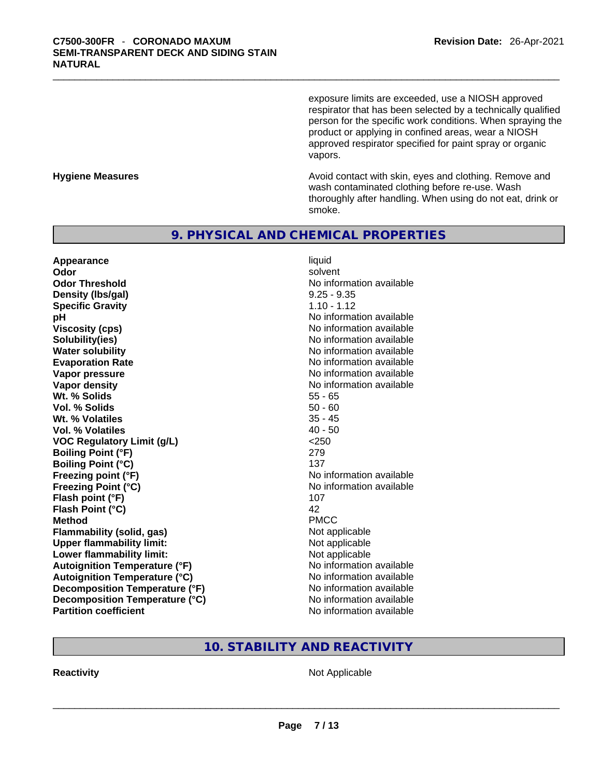exposure limits are exceeded, use a NIOSH approved respirator that has been selected by a technically qualified person for the specific work conditions. When spraying the product or applying in confined areas, wear a NIOSH approved respirator specified for paint spray or organic vapors.

**Hygiene Measures Avoid contact with skin, eyes and clothing. Remove and Avoid contact with skin, eyes and clothing. Remove and Avoid contact with skin, eyes and clothing. Remove and** wash contaminated clothing before re-use. Wash thoroughly after handling. When using do not eat, drink or smoke.

# **9. PHYSICAL AND CHEMICAL PROPERTIES**

**Appearance** liquid **Odor Solvent Solvent Solvent Solvent Odor Threshold** No information available **Density (lbs/gal)** 9.25 - 9.35 **Specific Gravity** 1.10 - 1.12 **pH pH** *No* information available **Viscosity (cps) Viscosity (cps) No information available Solubility(ies)** No information available **Water solubility No information available No information available Evaporation Rate No information available No information available Vapor pressure**  No information available **No information** available **Vapor density No information available No information available Wt. % Solids** 55 - 65 **Vol. % Solids** 50 - 60 **Wt. % Volatiles** 35 - 45 **Vol. % Volatiles** 40 - 50 **VOC Regulatory Limit (g/L)** <250 **Boiling Point (°F)** 279 **Boiling Point (°C)** 137 **Freezing point (°F)** No information available **Freezing Point (°C)** No information available **Flash point (°F)** 107 **Flash Point (°C)** 42 **Method** PMCC **Flammability (solid, gas)** Not applicable **Upper flammability limit:** Not applicable **Lower flammability limit:** Not applicable **Autoignition Temperature (°F)** No information available **Autoignition Temperature (°C)** No information available **Decomposition Temperature (°F)** No information available **Decomposition Temperature (°C)**<br> **Partition coefficient**<br> **Partition coefficient**<br> **No** information available

**No information available** 

# **10. STABILITY AND REACTIVITY**

**Reactivity** Not Applicable \_\_\_\_\_\_\_\_\_\_\_\_\_\_\_\_\_\_\_\_\_\_\_\_\_\_\_\_\_\_\_\_\_\_\_\_\_\_\_\_\_\_\_\_\_\_\_\_\_\_\_\_\_\_\_\_\_\_\_\_\_\_\_\_\_\_\_\_\_\_\_\_\_\_\_\_\_\_\_\_\_\_\_\_\_\_\_\_\_\_\_\_\_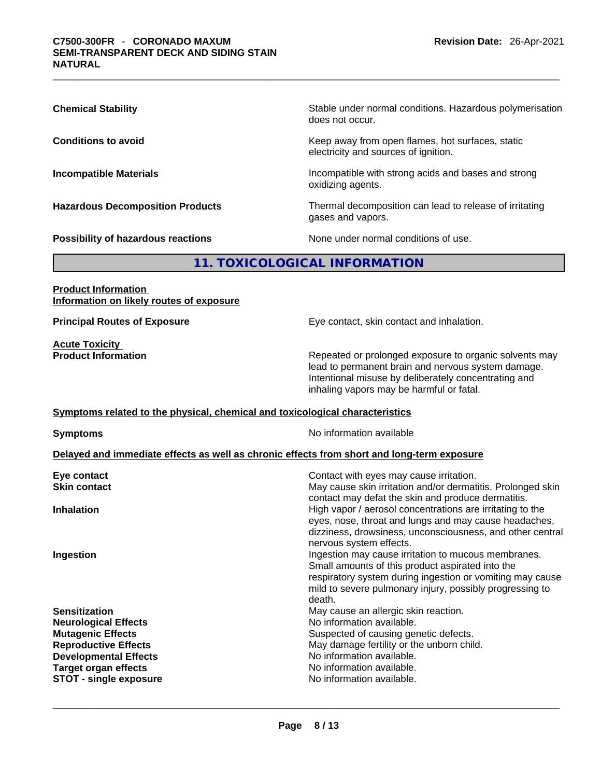| <b>Chemical Stability</b>               | Stable under normal conditions. Hazardous polymerisation<br>does not occur.              |
|-----------------------------------------|------------------------------------------------------------------------------------------|
| <b>Conditions to avoid</b>              | Keep away from open flames, hot surfaces, static<br>electricity and sources of ignition. |
| <b>Incompatible Materials</b>           | Incompatible with strong acids and bases and strong<br>oxidizing agents.                 |
| <b>Hazardous Decomposition Products</b> | Thermal decomposition can lead to release of irritating<br>gases and vapors.             |
| Possibility of hazardous reactions      | None under normal conditions of use.                                                     |

# **11. TOXICOLOGICAL INFORMATION**

### **Product Information Information on likely routes of exposure**

**Acute Toxicity**<br>**Product Information** 

**Principal Routes of Exposure Exposure** Eye contact, skin contact and inhalation.

Repeated or prolonged exposure to organic solvents may lead to permanent brain and nervous system damage. Intentional misuse by deliberately concentrating and inhaling vapors may be harmful or fatal.

### **Symptoms related to the physical,chemical and toxicological characteristics**

**Symptoms Symptoms No information available** 

### **Delayed and immediate effects as well as chronic effects from short and long-term exposure**

| Eye contact                   | Contact with eyes may cause irritation.                                                                                                                                                                                                    |
|-------------------------------|--------------------------------------------------------------------------------------------------------------------------------------------------------------------------------------------------------------------------------------------|
| <b>Skin contact</b>           | May cause skin irritation and/or dermatitis. Prolonged skin<br>contact may defat the skin and produce dermatitis.                                                                                                                          |
| <b>Inhalation</b>             | High vapor / aerosol concentrations are irritating to the<br>eyes, nose, throat and lungs and may cause headaches,<br>dizziness, drowsiness, unconsciousness, and other central<br>nervous system effects.                                 |
| Ingestion                     | Ingestion may cause irritation to mucous membranes.<br>Small amounts of this product aspirated into the<br>respiratory system during ingestion or vomiting may cause<br>mild to severe pulmonary injury, possibly progressing to<br>death. |
| <b>Sensitization</b>          | May cause an allergic skin reaction.                                                                                                                                                                                                       |
| <b>Neurological Effects</b>   | No information available.                                                                                                                                                                                                                  |
| <b>Mutagenic Effects</b>      | Suspected of causing genetic defects.                                                                                                                                                                                                      |
| <b>Reproductive Effects</b>   | May damage fertility or the unborn child.                                                                                                                                                                                                  |
| <b>Developmental Effects</b>  | No information available.                                                                                                                                                                                                                  |
| <b>Target organ effects</b>   | No information available.                                                                                                                                                                                                                  |
| <b>STOT - single exposure</b> | No information available.                                                                                                                                                                                                                  |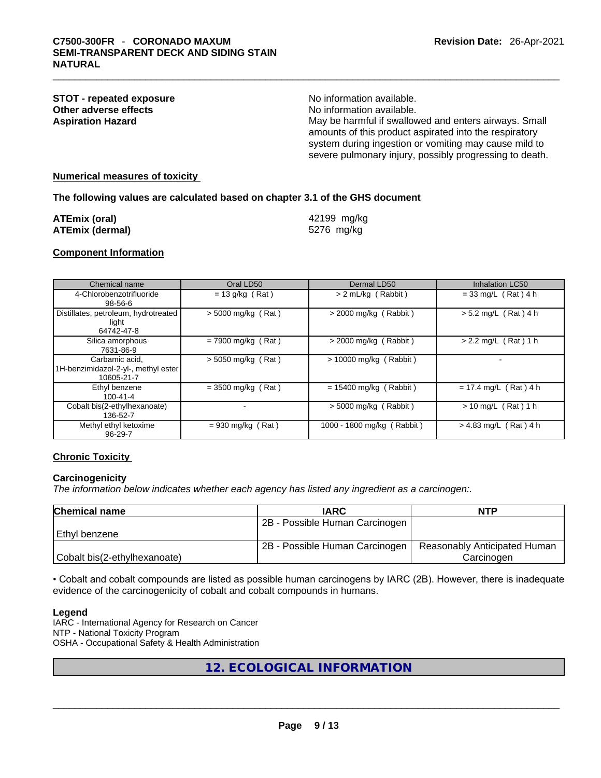#### **STOT** - **repeated exposure** No information available. **Other adverse effects**<br> **Aspiration Hazard**<br> **Aspiration Hazard**<br> **Aspiration Hazard Aspiration Hazard** May be harmful if swallowed and enters airways. Small amounts of this product aspirated into the respiratory system during ingestion or vomiting may cause mild to severe pulmonary injury, possibly progressing to death.

#### **Numerical measures of toxicity**

#### **The following values are calculated based on chapter 3.1 of the GHS document**

| ATEmix (oral)   | 42199 mg/kg |
|-----------------|-------------|
| ATEmix (dermal) | 5276 mg/kg  |

#### **Component Information**

| Chemical name                                                       | Oral LD50            | Dermal LD50                | Inhalation LC50         |
|---------------------------------------------------------------------|----------------------|----------------------------|-------------------------|
| 4-Chlorobenzotrifluoride<br>$98 - 56 - 6$                           | $= 13$ g/kg (Rat)    | > 2 mL/kg (Rabbit)         | $= 33$ mg/L (Rat) 4 h   |
| Distillates, petroleum, hydrotreated<br>light<br>64742-47-8         | $>$ 5000 mg/kg (Rat) | $>$ 2000 mg/kg (Rabbit)    | $> 5.2$ mg/L (Rat) 4 h  |
| Silica amorphous<br>7631-86-9                                       | $= 7900$ mg/kg (Rat) | $>$ 2000 mg/kg (Rabbit)    | $> 2.2$ mg/L (Rat) 1 h  |
| Carbamic acid,<br>1H-benzimidazol-2-yl-, methyl ester<br>10605-21-7 | $>$ 5050 mg/kg (Rat) | $> 10000$ mg/kg (Rabbit)   |                         |
| Ethyl benzene<br>$100 - 41 - 4$                                     | $= 3500$ mg/kg (Rat) | $= 15400$ mg/kg (Rabbit)   | $= 17.4$ mg/L (Rat) 4 h |
| Cobalt bis(2-ethylhexanoate)<br>136-52-7                            |                      | $> 5000$ mg/kg (Rabbit)    | $> 10$ mg/L (Rat) 1 h   |
| Methyl ethyl ketoxime<br>96-29-7                                    | $= 930$ mg/kg (Rat)  | 1000 - 1800 mg/kg (Rabbit) | $> 4.83$ mg/L (Rat) 4 h |

#### **Chronic Toxicity**

#### **Carcinogenicity**

*The information below indicates whether each agency has listed any ingredient as a carcinogen:.* 

| <b>Chemical name</b>         | <b>IARC</b>                    | <b>NTP</b>                   |
|------------------------------|--------------------------------|------------------------------|
|                              | 2B - Possible Human Carcinogen |                              |
| Ethyl benzene                |                                |                              |
|                              | 2B - Possible Human Carcinogen | Reasonably Anticipated Human |
| Cobalt bis(2-ethylhexanoate) |                                | Carcinogen                   |

• Cobalt and cobalt compounds are listed as possible human carcinogens by IARC (2B). However, there is inadequate evidence of the carcinogenicity of cobalt and cobalt compounds in humans.

#### **Legend**

IARC - International Agency for Research on Cancer NTP - National Toxicity Program OSHA - Occupational Safety & Health Administration

**12. ECOLOGICAL INFORMATION**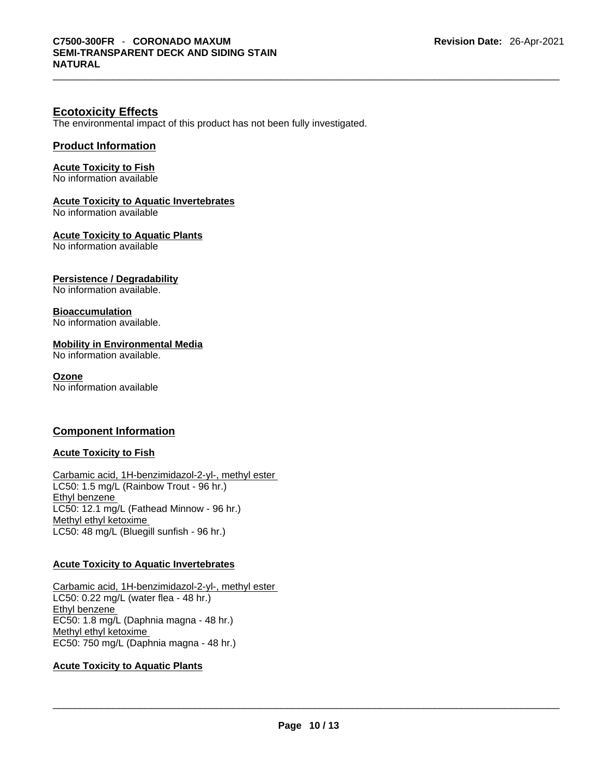# **Ecotoxicity Effects**

The environmental impact of this product has not been fully investigated.

### **Product Information**

**Acute Toxicity to Fish**

No information available

# **Acute Toxicity to Aquatic Invertebrates**

No information available

**Acute Toxicity to Aquatic Plants**

No information available

### **Persistence / Degradability**

No information available.

#### **Bioaccumulation**

No information available.

#### **Mobility in Environmental Media**

No information available.

#### **Ozone**

No information available

# **Component Information**

#### **Acute Toxicity to Fish**

Carbamic acid, 1H-benzimidazol-2-yl-, methyl ester LC50: 1.5 mg/L (Rainbow Trout - 96 hr.) Ethyl benzene LC50: 12.1 mg/L (Fathead Minnow - 96 hr.) Methyl ethyl ketoxime LC50: 48 mg/L (Bluegill sunfish - 96 hr.)

#### **Acute Toxicity to Aquatic Invertebrates**

Carbamic acid, 1H-benzimidazol-2-yl-, methyl ester LC50: 0.22 mg/L (water flea - 48 hr.) Ethyl benzene EC50: 1.8 mg/L (Daphnia magna - 48 hr.) Methyl ethyl ketoxime EC50: 750 mg/L (Daphnia magna - 48 hr.)

### **Acute Toxicity to Aquatic Plants**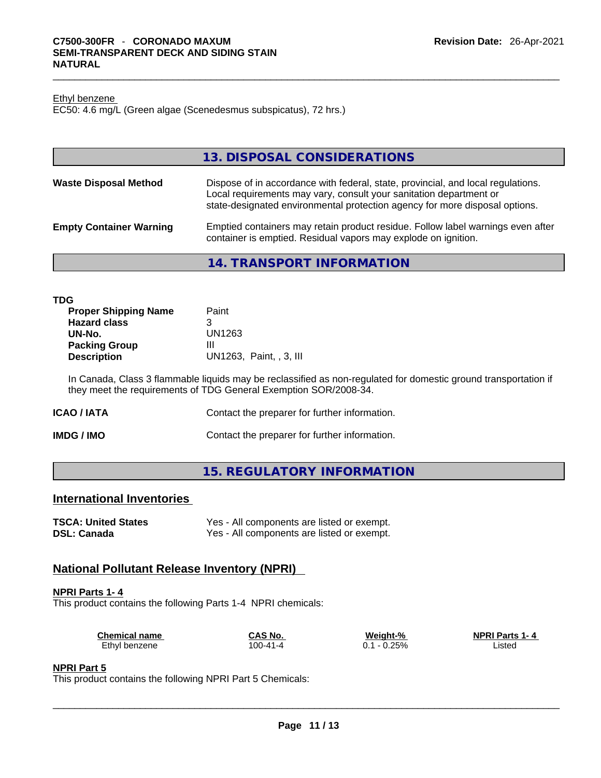#### Ethyl benzene

EC50: 4.6 mg/L (Green algae (Scenedesmus subspicatus), 72 hrs.)

|                                | 13. DISPOSAL CONSIDERATIONS                                                                                                                                                                                                           |
|--------------------------------|---------------------------------------------------------------------------------------------------------------------------------------------------------------------------------------------------------------------------------------|
| <b>Waste Disposal Method</b>   | Dispose of in accordance with federal, state, provincial, and local regulations.<br>Local requirements may vary, consult your sanitation department or<br>state-designated environmental protection agency for more disposal options. |
| <b>Empty Container Warning</b> | Emptied containers may retain product residue. Follow label warnings even after<br>container is emptied. Residual vapors may explode on ignition.                                                                                     |

### **14. TRANSPORT INFORMATION**

| <b>TDG</b>                  |                         |
|-----------------------------|-------------------------|
| <b>Proper Shipping Name</b> | Paint                   |
| <b>Hazard class</b>         | 3                       |
| UN-No.                      | UN1263                  |
| <b>Packing Group</b>        | Ш                       |
| <b>Description</b>          | UN1263, Paint, , 3, III |

In Canada, Class 3 flammable liquids may be reclassified as non-regulated for domestic ground transportation if they meet the requirements of TDG General Exemption SOR/2008-34.

| ICAO / IATA | Contact the preparer for further information. |
|-------------|-----------------------------------------------|
|-------------|-----------------------------------------------|

**IMDG / IMO Contact the preparer for further information.** 

# **15. REGULATORY INFORMATION**

# **International Inventories**

| <b>TSCA: United States</b> | Yes - All components are listed or exempt. |
|----------------------------|--------------------------------------------|
| <b>DSL: Canada</b>         | Yes - All components are listed or exempt. |

# **National Pollutant Release Inventory (NPRI)**

#### **NPRI Parts 1- 4**

This product contains the following Parts 1-4 NPRI chemicals:

| <b>Chemical name</b> | CAS No.  | Weight-%      | <b>NPRI Parts 1-4</b> |  |
|----------------------|----------|---------------|-----------------------|--|
| Ethyl benzene        | 100-41-4 | 0.25%<br>$-1$ | _isted                |  |

#### **NPRI Part 5**

This product contains the following NPRI Part 5 Chemicals: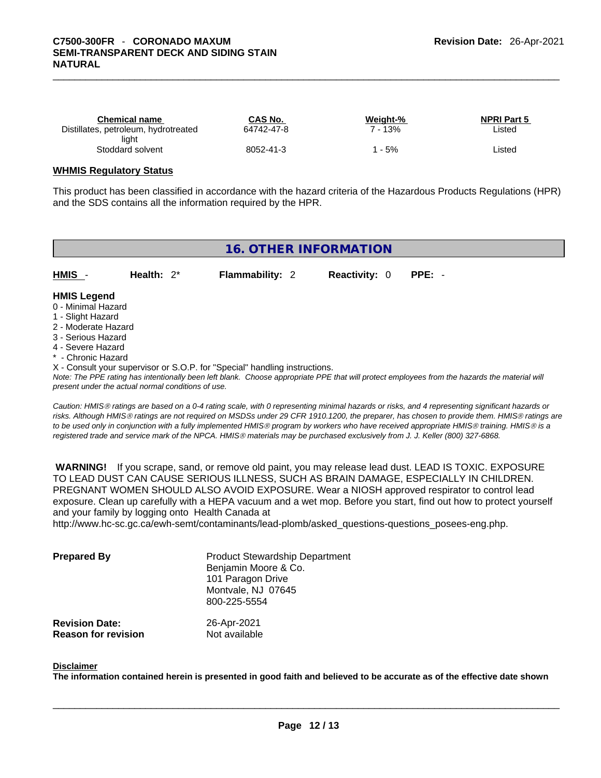| Chemical name                        | CAS No.    | Weight-% | <b>NPRI Part 5</b> |
|--------------------------------------|------------|----------|--------------------|
| Distillates, petroleum, hydrotreated | 64742-47-8 | - 13%    | Listed             |
| light                                |            |          |                    |
| Stoddard solvent                     | 8052-41-3  | 5%       | Listed             |

#### **WHMIS Regulatory Status**

This product has been classified in accordance with the hazard criteria of the Hazardous Products Regulations (HPR) and the SDS contains all the information required by the HPR.

# **16. OTHER INFORMATION**

**HMIS** - **Health:** 2\* **Flammability:** 2 **Reactivity:** 0 **PPE:** -

#### **HMIS Legend**

- 0 Minimal Hazard
- 1 Slight Hazard
- 2 Moderate Hazard
- 3 Serious Hazard
- 4 Severe Hazard
- \* Chronic Hazard
- X Consult your supervisor or S.O.P. for "Special" handling instructions.

*Note: The PPE rating has intentionally been left blank. Choose appropriate PPE that will protect employees from the hazards the material will present under the actual normal conditions of use.* 

*Caution: HMISÒ ratings are based on a 0-4 rating scale, with 0 representing minimal hazards or risks, and 4 representing significant hazards or risks. Although HMISÒ ratings are not required on MSDSs under 29 CFR 1910.1200, the preparer, has chosen to provide them. HMISÒ ratings are to be used only in conjunction with a fully implemented HMISÒ program by workers who have received appropriate HMISÒ training. HMISÒ is a registered trade and service mark of the NPCA. HMISÒ materials may be purchased exclusively from J. J. Keller (800) 327-6868.* 

 **WARNING!** If you scrape, sand, or remove old paint, you may release lead dust. LEAD IS TOXIC. EXPOSURE TO LEAD DUST CAN CAUSE SERIOUS ILLNESS, SUCH AS BRAIN DAMAGE, ESPECIALLY IN CHILDREN. PREGNANT WOMEN SHOULD ALSO AVOID EXPOSURE.Wear a NIOSH approved respirator to control lead exposure. Clean up carefully with a HEPA vacuum and a wet mop. Before you start, find out how to protect yourself and your family by logging onto Health Canada at

http://www.hc-sc.gc.ca/ewh-semt/contaminants/lead-plomb/asked\_questions-questions\_posees-eng.php.

| <b>Prepared By</b>                                  | <b>Product Stewardship Department</b><br>Benjamin Moore & Co.<br>101 Paragon Drive<br>Montvale, NJ 07645<br>800-225-5554 |  |
|-----------------------------------------------------|--------------------------------------------------------------------------------------------------------------------------|--|
| <b>Revision Date:</b><br><b>Reason for revision</b> | 26-Apr-2021<br>Not available                                                                                             |  |

#### **Disclaimer**

The information contained herein is presented in good faith and believed to be accurate as of the effective date shown